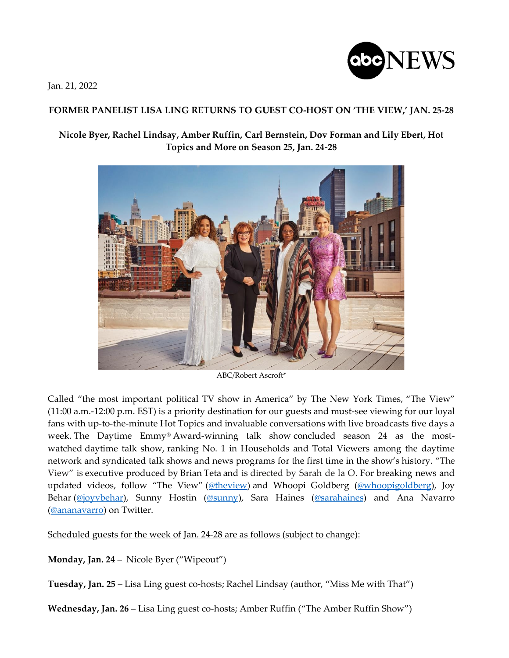

Jan. 21, 2022

## **FORMER PANELIST LISA LING RETURNS TO GUEST CO-HOST ON 'THE VIEW,' JAN. 25-28**

**Nicole Byer, Rachel Lindsay, Amber Ruffin, Carl Bernstein, Dov Forman and Lily Ebert, Hot Topics and More on Season 25, Jan. 24-28**



ABC/Robert Ascroft\*

Called "the most important political TV show in America" by The New York Times, "The View" (11:00 a.m.-12:00 p.m. EST) is a priority destination for our guests and must-see viewing for our loyal fans with up-to-the-minute Hot Topics and invaluable conversations with live broadcasts five days a week. The Daytime Emmy® Award-winning talk show concluded season 24 as the mostwatched daytime talk show, ranking No. 1 in Households and Total Viewers among the daytime network and syndicated talk shows and news programs for the first time in the show's history. "The View" is executive produced by Brian Teta and is directed by Sarah de la O. For breaking news and updated videos, follow "The View" [\(@theview\)](https://nam04.safelinks.protection.outlook.com/?url=https%3A%2F%2Ftwitter.com%2FTheView&data=04%7C01%7CLauri.L.Hogan%40abc.com%7Ce82a3a47d23c4ecafe2808d9d442d466%7C56b731a8a2ac4c32bf6b616810e913c6%7C1%7C0%7C637774205754679018%7CUnknown%7CTWFpbGZsb3d8eyJWIjoiMC4wLjAwMDAiLCJQIjoiV2luMzIiLCJBTiI6Ik1haWwiLCJXVCI6Mn0%3D%7C3000&sdata=gLrauKB%2FvP0GITTtCe936%2B26NzhbS%2FsPvN1%2FGFEc8RY%3D&reserved=0) and Whoopi Goldberg [\(@whoopigoldberg\)](https://nam04.safelinks.protection.outlook.com/?url=https%3A%2F%2Ftwitter.com%2FWhoopiGoldberg&data=04%7C01%7CLauri.L.Hogan%40abc.com%7Ce82a3a47d23c4ecafe2808d9d442d466%7C56b731a8a2ac4c32bf6b616810e913c6%7C1%7C0%7C637774205754679018%7CUnknown%7CTWFpbGZsb3d8eyJWIjoiMC4wLjAwMDAiLCJQIjoiV2luMzIiLCJBTiI6Ik1haWwiLCJXVCI6Mn0%3D%7C3000&sdata=okaLWL7S1SfwhmmV%2FiQ3QvIjjuxzMvEg8FpTEzvJ7Ko%3D&reserved=0), Joy Behar [\(@joyvbehar\)](https://nam04.safelinks.protection.outlook.com/?url=https%3A%2F%2Ftwitter.com%2FJoyVBehar&data=04%7C01%7CLauri.L.Hogan%40abc.com%7Ce82a3a47d23c4ecafe2808d9d442d466%7C56b731a8a2ac4c32bf6b616810e913c6%7C1%7C0%7C637774205754679018%7CUnknown%7CTWFpbGZsb3d8eyJWIjoiMC4wLjAwMDAiLCJQIjoiV2luMzIiLCJBTiI6Ik1haWwiLCJXVCI6Mn0%3D%7C3000&sdata=ngcELna8IHxBjegtswQnipsIc3UBd8J2zuwKU4Agsms%3D&reserved=0), Sunny Hostin [\(@sunny\)](https://nam04.safelinks.protection.outlook.com/?url=https%3A%2F%2Ftwitter.com%2Fsunny&data=04%7C01%7CLauri.L.Hogan%40abc.com%7Ce82a3a47d23c4ecafe2808d9d442d466%7C56b731a8a2ac4c32bf6b616810e913c6%7C1%7C0%7C637774205754679018%7CUnknown%7CTWFpbGZsb3d8eyJWIjoiMC4wLjAwMDAiLCJQIjoiV2luMzIiLCJBTiI6Ik1haWwiLCJXVCI6Mn0%3D%7C3000&sdata=THnE%2FnQTBzPXQEOmC4pSL9GOTS6fLkjGugBYefR8IAc%3D&reserved=0), Sara Haines [\(@sarahaines\)](https://nam04.safelinks.protection.outlook.com/?url=https%3A%2F%2Ftwitter.com%2Fsarahaines&data=04%7C01%7CLauri.L.Hogan%40abc.com%7Ce82a3a47d23c4ecafe2808d9d442d466%7C56b731a8a2ac4c32bf6b616810e913c6%7C1%7C0%7C637774205754679018%7CUnknown%7CTWFpbGZsb3d8eyJWIjoiMC4wLjAwMDAiLCJQIjoiV2luMzIiLCJBTiI6Ik1haWwiLCJXVCI6Mn0%3D%7C3000&sdata=T%2BzHdgzixTkoEeRwxMUuL1lq8ACSYji9OTrlOiYhCLg%3D&reserved=0) and Ana Navarro [\(@ananavarro\)](https://nam04.safelinks.protection.outlook.com/?url=https%3A%2F%2Ftwitter.com%2Fananavarro%3Fref_src%3Dtwsrc%255Egoogle%257Ctwcamp%255Eserp%257Ctwgr%255Eauthor&data=04%7C01%7CLauri.L.Hogan%40abc.com%7Ce82a3a47d23c4ecafe2808d9d442d466%7C56b731a8a2ac4c32bf6b616810e913c6%7C1%7C0%7C637774205754679018%7CUnknown%7CTWFpbGZsb3d8eyJWIjoiMC4wLjAwMDAiLCJQIjoiV2luMzIiLCJBTiI6Ik1haWwiLCJXVCI6Mn0%3D%7C3000&sdata=53DJ9WadIL1yVPUr1Uw%2Bb6ucxJ05vubVD%2FDdUweD86Q%3D&reserved=0) on Twitter.

Scheduled guests for the week of Jan. 24-28 are as follows (subject to change):

**Monday, Jan. 24** – Nicole Byer ("Wipeout")

**Tuesday, Jan. 25** – Lisa Ling guest co-hosts; Rachel Lindsay (author, "Miss Me with That")

**Wednesday, Jan. 26** – Lisa Ling guest co-hosts; Amber Ruffin ("The Amber Ruffin Show")